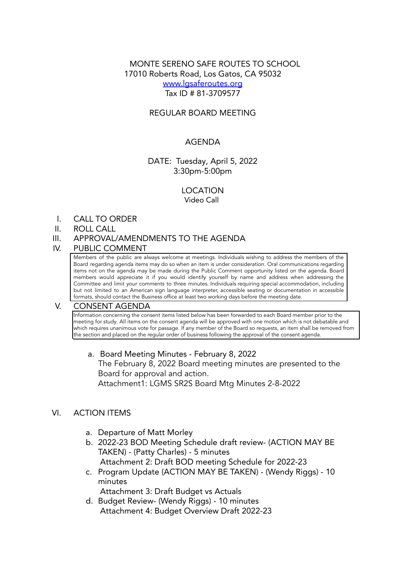# MONTE SERENO SAFE ROUTES TO SCHOOL 17010 Roberts Road, Los Gatos, CA 95032 [www.lgsaferoutes.org](http://www.lgsaferoutes.org) Tax ID # 81-3709577

# REGULAR BOARD MEETING

## AGENDA

## DATE: Tuesday, April 5, 2022 3:30pm-5:00pm

# LOCATION

Video Call

I. CALL TO ORDER

#### II. ROLL CALL

III. APPROVAL/AMENDMENTS TO THE AGENDA

#### IV. PUBLIC COMMENT

Members of the public are always welcome at meetings. Individuals wishing to address the members of the Board regarding agenda items may do so when an item is under consideration. Oral communications regarding items not on the agenda may be made during the Public Comment opportunity listed on the agenda. Board members would appreciate it if you would identify yourself by name and address when addressing the Committee and limit your comments to three minutes. Individuals requiring special accommodation, including but not limited to an American sign language interpreter, accessible seating or documentation in accessible formats, should contact the Business office at least two working days before the meeting date.

### V. CONSENT AGENDA

Information concerning the consent items listed below has been forwarded to each Board member prior to the meeting for study. All items on the consent agenda will be approved with one motion which is not debatable and which requires unanimous vote for passage. If any member of the Board so requests, an item shall be removed from the section and placed on the regular order of business following the approval of the consent agenda.

a. Board Meeting Minutes - February 8, 2022 The February 8, 2022 Board meeting minutes are presented to the Board for approval and action. Attachment1: LGMS SR2S Board Mtg Minutes 2-8-2022

### VI. ACTION ITEMS

- a. Departure of Matt Morley
- b. 2022-23 BOD Meeting Schedule draft review- (ACTION MAY BE TAKEN) - (Patty Charles) - 5 minutes Attachment 2: Draft BOD meeting Schedule for 2022-23
- c. Program Update (ACTION MAY BE TAKEN) (Wendy Riggs) 10 minutes

Attachment 3: Draft Budget vs Actuals

d. Budget Review- (Wendy Riggs) - 10 minutes Attachment 4: Budget Overview Draft 2022-23